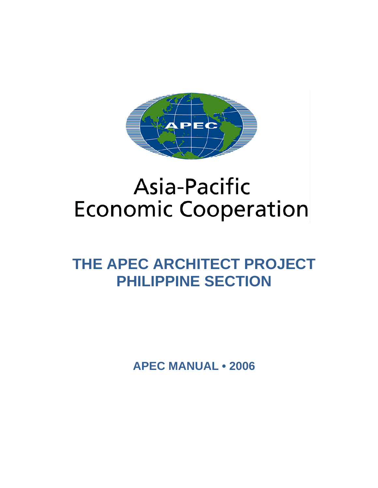

# **Asia-Pacific Economic Cooperation**

# **THE APEC ARCHITECT PROJECT PHILIPPINE SECTION**

**APEC MANUAL • 2006**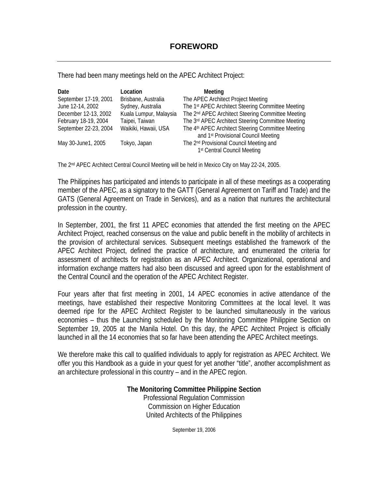There had been many meetings held on the APEC Architect Project:

| Date                  | Location               | Meeting                                                       |
|-----------------------|------------------------|---------------------------------------------------------------|
| September 17-19, 2001 | Brisbane, Australia    | The APEC Architect Project Meeting                            |
| June 12-14, 2002      | Sydney, Australia      | The 1st APEC Architect Steering Committee Meeting             |
| December 12-13, 2002  | Kuala Lumpur, Malaysia | The 2 <sup>nd</sup> APEC Architect Steering Committee Meeting |
| February 18-19, 2004  | Taipei, Taiwan         | The 3rd APEC Architect Steering Committee Meeting             |
| September 22-23, 2004 | Waikiki, Hawaii, USA   | The 4 <sup>th</sup> APEC Architect Steering Committee Meeting |
|                       |                        | and 1 <sup>st</sup> Provisional Council Meeting               |
| May 30-June1, 2005    | Tokyo, Japan           | The 2 <sup>nd</sup> Provisional Council Meeting and           |
|                       |                        | 1 <sup>st</sup> Central Council Meeting                       |

The 2<sup>nd</sup> APEC Architect Central Council Meeting will be held in Mexico City on May 22-24, 2005.

The Philippines has participated and intends to participate in all of these meetings as a cooperating member of the APEC, as a signatory to the GATT (General Agreement on Tariff and Trade) and the GATS (General Agreement on Trade in Services), and as a nation that nurtures the architectural profession in the country.

In September, 2001, the first 11 APEC economies that attended the first meeting on the APEC Architect Project, reached consensus on the value and public benefit in the mobility of architects in the provision of architectural services. Subsequent meetings established the framework of the APEC Architect Project, defined the practice of architecture, and enumerated the criteria for assessment of architects for registration as an APEC Architect. Organizational, operational and information exchange matters had also been discussed and agreed upon for the establishment of the Central Council and the operation of the APEC Architect Register.

Four years after that first meeting in 2001, 14 APEC economies in active attendance of the meetings, have established their respective Monitoring Committees at the local level. It was deemed ripe for the APEC Architect Register to be launched simultaneously in the various economies – thus the Launching scheduled by the Monitoring Committee Philippine Section on September 19, 2005 at the Manila Hotel. On this day, the APEC Architect Project is officially launched in all the 14 economies that so far have been attending the APEC Architect meetings.

We therefore make this call to qualified individuals to apply for registration as APEC Architect. We offer you this Handbook as a guide in your quest for yet another "title", another accomplishment as an architecture professional in this country – and in the APEC region.

> **The Monitoring Committee Philippine Section**  Professional Regulation Commission Commission on Higher Education United Architects of the Philippines

> > September 19, 2006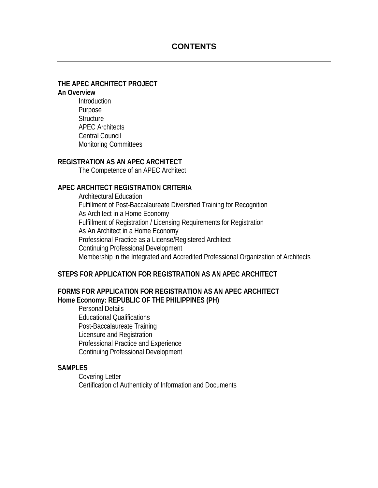# **CONTENTS**

# **THE APEC ARCHITECT PROJECT**

## **An Overview**

Introduction Purpose **Structure** APEC Architects Central Council Monitoring Committees

## **REGISTRATION AS AN APEC ARCHITECT**

The Competence of an APEC Architect

# **APEC ARCHITECT REGISTRATION CRITERIA**

Architectural Education Fulfillment of Post-Baccalaureate Diversified Training for Recognition As Architect in a Home Economy Fulfillment of Registration / Licensing Requirements for Registration As An Architect in a Home Economy Professional Practice as a License/Registered Architect Continuing Professional Development Membership in the Integrated and Accredited Professional Organization of Architects

# **STEPS FOR APPLICATION FOR REGISTRATION AS AN APEC ARCHITECT**

# **FORMS FOR APPLICATION FOR REGISTRATION AS AN APEC ARCHITECT Home Economy: REPUBLIC OF THE PHILIPPINES (PH)**

Personal Details Educational Qualifications Post-Baccalaureate Training Licensure and Registration Professional Practice and Experience Continuing Professional Development

#### **SAMPLES**

Covering Letter Certification of Authenticity of Information and Documents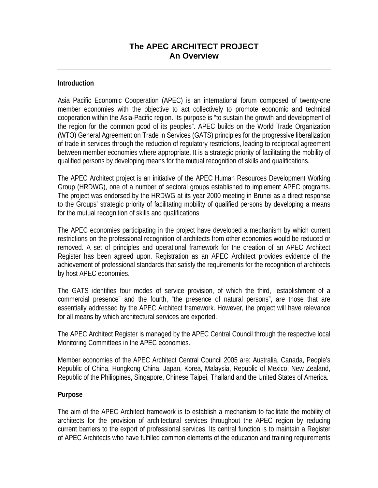# **The APEC ARCHITECT PROJECT An Overview**

## **Introduction**

Asia Pacific Economic Cooperation (APEC) is an international forum composed of twenty-one member economies with the objective to act collectively to promote economic and technical cooperation within the Asia-Pacific region. Its purpose is "to sustain the growth and development of the region for the common good of its peoples". APEC builds on the World Trade Organization (WTO) General Agreement on Trade in Services (GATS) principles for the progressive liberalization of trade in services through the reduction of regulatory restrictions, leading to reciprocal agreement between member economies where appropriate. It is a strategic priority of facilitating the mobility of qualified persons by developing means for the mutual recognition of skills and qualifications.

The APEC Architect project is an initiative of the APEC Human Resources Development Working Group (HRDWG), one of a number of sectoral groups established to implement APEC programs. The project was endorsed by the HRDWG at its year 2000 meeting in Brunei as a direct response to the Groups' strategic priority of facilitating mobility of qualified persons by developing a means for the mutual recognition of skills and qualifications

The APEC economies participating in the project have developed a mechanism by which current restrictions on the professional recognition of architects from other economies would be reduced or removed. A set of principles and operational framework for the creation of an APEC Architect Register has been agreed upon. Registration as an APEC Architect provides evidence of the achievement of professional standards that satisfy the requirements for the recognition of architects by host APEC economies.

The GATS identifies four modes of service provision, of which the third, "establishment of a commercial presence" and the fourth, "the presence of natural persons", are those that are essentially addressed by the APEC Architect framework. However, the project will have relevance for all means by which architectural services are exported.

The APEC Architect Register is managed by the APEC Central Council through the respective local Monitoring Committees in the APEC economies.

Member economies of the APEC Architect Central Council 2005 are: Australia, Canada, People's Republic of China, Hongkong China, Japan, Korea, Malaysia, Republic of Mexico, New Zealand, Republic of the Philippines, Singapore, Chinese Taipei, Thailand and the United States of America.

#### **Purpose**

The aim of the APEC Architect framework is to establish a mechanism to facilitate the mobility of architects for the provision of architectural services throughout the APEC region by reducing current barriers to the export of professional services. Its central function is to maintain a Register of APEC Architects who have fulfilled common elements of the education and training requirements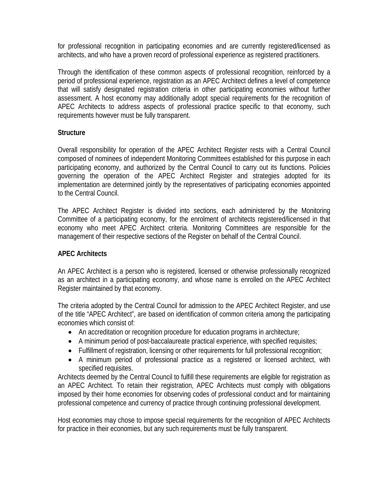for professional recognition in participating economies and are currently registered/licensed as architects, and who have a proven record of professional experience as registered practitioners.

Through the identification of these common aspects of professional recognition, reinforced by a period of professional experience, registration as an APEC Architect defines a level of competence that will satisfy designated registration criteria in other participating economies without further assessment. A host economy may additionally adopt special requirements for the recognition of APEC Architects to address aspects of professional practice specific to that economy, such requirements however must be fully transparent.

# **Structure**

Overall responsibility for operation of the APEC Architect Register rests with a Central Council composed of nominees of independent Monitoring Committees established for this purpose in each participating economy, and authorized by the Central Council to carry out its functions. Policies governing the operation of the APEC Architect Register and strategies adopted for its implementation are determined jointly by the representatives of participating economies appointed to the Central Council.

The APEC Architect Register is divided into sections, each administered by the Monitoring Committee of a participating economy, for the enrolment of architects registered/licensed in that economy who meet APEC Architect criteria. Monitoring Committees are responsible for the management of their respective sections of the Register on behalf of the Central Council.

# **APEC Architects**

An APEC Architect is a person who is registered, licensed or otherwise professionally recognized as an architect in a participating economy, and whose name is enrolled on the APEC Architect Register maintained by that economy.

The criteria adopted by the Central Council for admission to the APEC Architect Register, and use of the title "APEC Architect", are based on identification of common criteria among the participating economies which consist of:

- An accreditation or recognition procedure for education programs in architecture;
- A minimum period of post-baccalaureate practical experience, with specified requisites;
- Fulfillment of registration, licensing or other requirements for full professional recognition;
- A minimum period of professional practice as a registered or licensed architect, with specified requisites.

Architects deemed by the Central Council to fulfill these requirements are eligible for registration as an APEC Architect. To retain their registration, APEC Architects must comply with obligations imposed by their home economies for observing codes of professional conduct and for maintaining professional competence and currency of practice through continuing professional development.

Host economies may chose to impose special requirements for the recognition of APEC Architects for practice in their economies, but any such requirements must be fully transparent.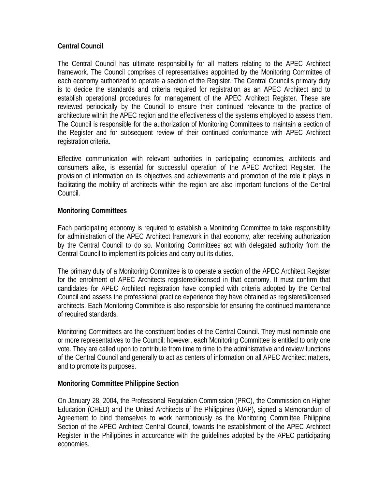# **Central Council**

The Central Council has ultimate responsibility for all matters relating to the APEC Architect framework. The Council comprises of representatives appointed by the Monitoring Committee of each economy authorized to operate a section of the Register. The Central Council's primary duty is to decide the standards and criteria required for registration as an APEC Architect and to establish operational procedures for management of the APEC Architect Register. These are reviewed periodically by the Council to ensure their continued relevance to the practice of architecture within the APEC region and the effectiveness of the systems employed to assess them. The Council is responsible for the authorization of Monitoring Committees to maintain a section of the Register and for subsequent review of their continued conformance with APEC Architect registration criteria.

Effective communication with relevant authorities in participating economies, architects and consumers alike, is essential for successful operation of the APEC Architect Register. The provision of information on its objectives and achievements and promotion of the role it plays in facilitating the mobility of architects within the region are also important functions of the Central Council.

# **Monitoring Committees**

Each participating economy is required to establish a Monitoring Committee to take responsibility for administration of the APEC Architect framework in that economy, after receiving authorization by the Central Council to do so. Monitoring Committees act with delegated authority from the Central Council to implement its policies and carry out its duties.

The primary duty of a Monitoring Committee is to operate a section of the APEC Architect Register for the enrolment of APEC Architects registered/licensed in that economy. It must confirm that candidates for APEC Architect registration have complied with criteria adopted by the Central Council and assess the professional practice experience they have obtained as registered/licensed architects. Each Monitoring Committee is also responsible for ensuring the continued maintenance of required standards.

Monitoring Committees are the constituent bodies of the Central Council. They must nominate one or more representatives to the Council; however, each Monitoring Committee is entitled to only one vote. They are called upon to contribute from time to time to the administrative and review functions of the Central Council and generally to act as centers of information on all APEC Architect matters, and to promote its purposes.

# **Monitoring Committee Philippine Section**

On January 28, 2004, the Professional Regulation Commission (PRC), the Commission on Higher Education (CHED) and the United Architects of the Philippines (UAP), signed a Memorandum of Agreement to bind themselves to work harmoniously as the Monitoring Committee Philippine Section of the APEC Architect Central Council, towards the establishment of the APEC Architect Register in the Philippines in accordance with the guidelines adopted by the APEC participating economies.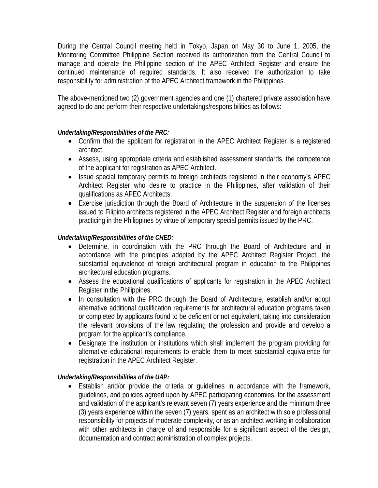During the Central Council meeting held in Tokyo, Japan on May 30 to June 1, 2005, the Monitoring Committee Philippine Section received its authorization from the Central Council to manage and operate the Philippine section of the APEC Architect Register and ensure the continued maintenance of required standards. It also received the authorization to take responsibility for administration of the APEC Architect framework in the Philippines.

The above-mentioned two (2) government agencies and one (1) chartered private association have agreed to do and perform their respective undertakings/responsibilities as follows:

# *Undertaking/Responsibilities of the PRC:*

- Confirm that the applicant for registration in the APEC Architect Register is a registered architect.
- Assess, using appropriate criteria and established assessment standards, the competence of the applicant for registration as APEC Architect.
- Issue special temporary permits to foreign architects registered in their economy's APEC Architect Register who desire to practice in the Philippines, after validation of their qualifications as APEC Architects.
- Exercise jurisdiction through the Board of Architecture in the suspension of the licenses issued to Filipino architects registered in the APEC Architect Register and foreign architects practicing in the Philippines by virtue of temporary special permits issued by the PRC.

# *Undertaking/Responsibilities of the CHED:*

- Determine, in coordination with the PRC through the Board of Architecture and in accordance with the principles adopted by the APEC Architect Register Project, the substantial equivalence of foreign architectural program in education to the Philippines architectural education programs.
- Assess the educational qualifications of applicants for registration in the APEC Architect Register in the Philippines.
- In consultation with the PRC through the Board of Architecture, establish and/or adopt alternative additional qualification requirements for architectural education programs taken or completed by applicants found to be deficient or not equivalent, taking into consideration the relevant provisions of the law regulating the profession and provide and develop a program for the applicant's compliance.
- Designate the institution or institutions which shall implement the program providing for alternative educational requirements to enable them to meet substantial equivalence for registration in the APEC Architect Register.

# *Undertaking/Responsibilities of the UAP:*

• Establish and/or provide the criteria or guidelines in accordance with the framework, guidelines, and policies agreed upon by APEC participating economies, for the assessment and validation of the applicant's relevant seven (7) years experience and the minimum three (3) years experience within the seven (7) years, spent as an architect with sole professional responsibility for projects of moderate complexity, or as an architect working in collaboration with other architects in charge of and responsible for a significant aspect of the design, documentation and contract administration of complex projects.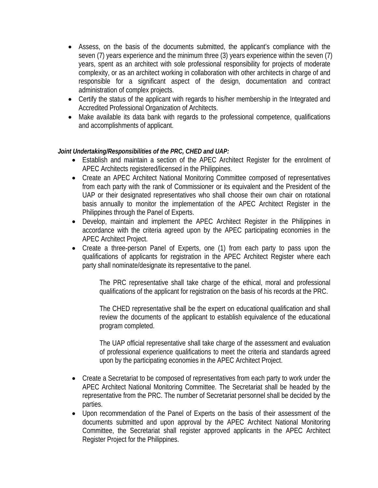- Assess, on the basis of the documents submitted, the applicant's compliance with the seven (7) years experience and the minimum three (3) years experience within the seven (7) years, spent as an architect with sole professional responsibility for projects of moderate complexity, or as an architect working in collaboration with other architects in charge of and responsible for a significant aspect of the design, documentation and contract administration of complex projects.
- Certify the status of the applicant with regards to his/her membership in the Integrated and Accredited Professional Organization of Architects.
- Make available its data bank with regards to the professional competence, qualifications and accomplishments of applicant.

# *Joint Undertaking/Responsibilities of the PRC, CHED and UAP:*

- Establish and maintain a section of the APEC Architect Register for the enrolment of APEC Architects registered/licensed in the Philippines.
- Create an APEC Architect National Monitoring Committee composed of representatives from each party with the rank of Commissioner or its equivalent and the President of the UAP or their designated representatives who shall choose their own chair on rotational basis annually to monitor the implementation of the APEC Architect Register in the Philippines through the Panel of Experts.
- Develop, maintain and implement the APEC Architect Register in the Philippines in accordance with the criteria agreed upon by the APEC participating economies in the APEC Architect Project.
- Create a three-person Panel of Experts, one (1) from each party to pass upon the qualifications of applicants for registration in the APEC Architect Register where each party shall nominate/designate its representative to the panel.

The PRC representative shall take charge of the ethical, moral and professional qualifications of the applicant for registration on the basis of his records at the PRC.

The CHED representative shall be the expert on educational qualification and shall review the documents of the applicant to establish equivalence of the educational program completed.

The UAP official representative shall take charge of the assessment and evaluation of professional experience qualifications to meet the criteria and standards agreed upon by the participating economies in the APEC Architect Project.

- Create a Secretariat to be composed of representatives from each party to work under the APEC Architect National Monitoring Committee. The Secretariat shall be headed by the representative from the PRC. The number of Secretariat personnel shall be decided by the parties.
- Upon recommendation of the Panel of Experts on the basis of their assessment of the documents submitted and upon approval by the APEC Architect National Monitoring Committee, the Secretariat shall register approved applicants in the APEC Architect Register Project for the Philippines.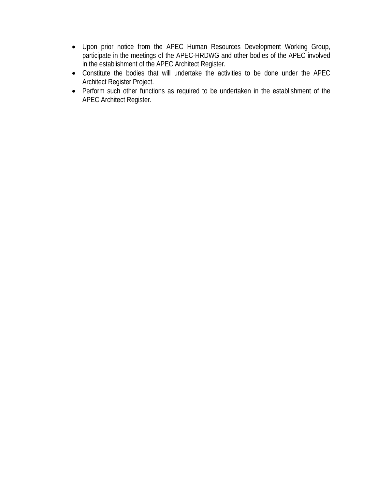- Upon prior notice from the APEC Human Resources Development Working Group, participate in the meetings of the APEC-HRDWG and other bodies of the APEC involved in the establishment of the APEC Architect Register.
- Constitute the bodies that will undertake the activities to be done under the APEC Architect Register Project.
- Perform such other functions as required to be undertaken in the establishment of the APEC Architect Register.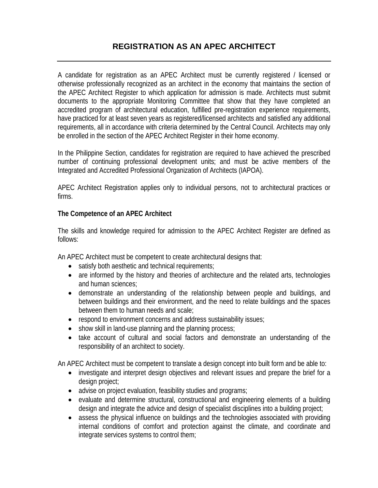# **REGISTRATION AS AN APEC ARCHITECT**

A candidate for registration as an APEC Architect must be currently registered / licensed or otherwise professionally recognized as an architect in the economy that maintains the section of the APEC Architect Register to which application for admission is made. Architects must submit documents to the appropriate Monitoring Committee that show that they have completed an accredited program of architectural education, fulfilled pre-registration experience requirements, have practiced for at least seven years as registered/licensed architects and satisfied any additional requirements, all in accordance with criteria determined by the Central Council. Architects may only be enrolled in the section of the APEC Architect Register in their home economy.

In the Philippine Section, candidates for registration are required to have achieved the prescribed number of continuing professional development units; and must be active members of the Integrated and Accredited Professional Organization of Architects (IAPOA).

APEC Architect Registration applies only to individual persons, not to architectural practices or firms.

# **The Competence of an APEC Architect**

The skills and knowledge required for admission to the APEC Architect Register are defined as follows:

An APEC Architect must be competent to create architectural designs that:

- satisfy both aesthetic and technical requirements;
- are informed by the history and theories of architecture and the related arts, technologies and human sciences;
- demonstrate an understanding of the relationship between people and buildings, and between buildings and their environment, and the need to relate buildings and the spaces between them to human needs and scale;
- respond to environment concerns and address sustainability issues;
- show skill in land-use planning and the planning process;
- take account of cultural and social factors and demonstrate an understanding of the responsibility of an architect to society.

An APEC Architect must be competent to translate a design concept into built form and be able to:

- investigate and interpret design objectives and relevant issues and prepare the brief for a design project;
- advise on project evaluation, feasibility studies and programs;
- evaluate and determine structural, constructional and engineering elements of a building design and integrate the advice and design of specialist disciplines into a building project;
- assess the physical influence on buildings and the technologies associated with providing internal conditions of comfort and protection against the climate, and coordinate and integrate services systems to control them;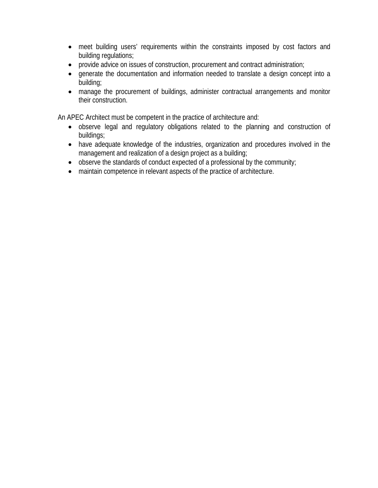- meet building users' requirements within the constraints imposed by cost factors and building regulations;
- provide advice on issues of construction, procurement and contract administration;
- generate the documentation and information needed to translate a design concept into a building;
- manage the procurement of buildings, administer contractual arrangements and monitor their construction.

An APEC Architect must be competent in the practice of architecture and:

- observe legal and regulatory obligations related to the planning and construction of buildings;
- have adequate knowledge of the industries, organization and procedures involved in the management and realization of a design project as a building;
- observe the standards of conduct expected of a professional by the community;
- maintain competence in relevant aspects of the practice of architecture.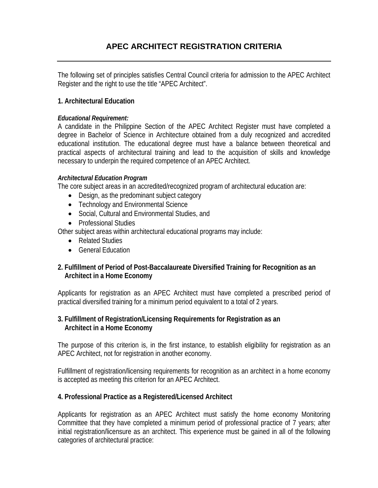# **APEC ARCHITECT REGISTRATION CRITERIA**

The following set of principles satisfies Central Council criteria for admission to the APEC Architect Register and the right to use the title "APEC Architect".

# **1. Architectural Education**

# *Educational Requirement:*

A candidate in the Philippine Section of the APEC Architect Register must have completed a degree in Bachelor of Science in Architecture obtained from a duly recognized and accredited educational institution. The educational degree must have a balance between theoretical and practical aspects of architectural training and lead to the acquisition of skills and knowledge necessary to underpin the required competence of an APEC Architect.

# *Architectural Education Program*

The core subject areas in an accredited/recognized program of architectural education are:

- Design, as the predominant subject category
- Technology and Environmental Science
- Social, Cultural and Environmental Studies, and
- Professional Studies

Other subject areas within architectural educational programs may include:

- Related Studies
- General Education

# **2. Fulfillment of Period of Post-Baccalaureate Diversified Training for Recognition as an Architect in a Home Economy**

Applicants for registration as an APEC Architect must have completed a prescribed period of practical diversified training for a minimum period equivalent to a total of 2 years.

# **3. Fulfillment of Registration/Licensing Requirements for Registration as an Architect in a Home Economy**

The purpose of this criterion is, in the first instance, to establish eligibility for registration as an APEC Architect, not for registration in another economy.

Fulfillment of registration/licensing requirements for recognition as an architect in a home economy is accepted as meeting this criterion for an APEC Architect.

# **4. Professional Practice as a Registered/Licensed Architect**

Applicants for registration as an APEC Architect must satisfy the home economy Monitoring Committee that they have completed a minimum period of professional practice of 7 years; after initial registration/licensure as an architect. This experience must be gained in all of the following categories of architectural practice: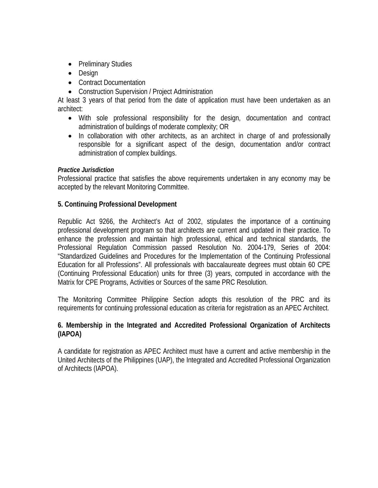- Preliminary Studies
- Design
- Contract Documentation
- Construction Supervision / Project Administration

At least 3 years of that period from the date of application must have been undertaken as an architect:

- With sole professional responsibility for the design, documentation and contract administration of buildings of moderate complexity; OR
- In collaboration with other architects, as an architect in charge of and professionally responsible for a significant aspect of the design, documentation and/or contract administration of complex buildings.

# *Practice Jurisdiction*

Professional practice that satisfies the above requirements undertaken in any economy may be accepted by the relevant Monitoring Committee.

# **5. Continuing Professional Development**

Republic Act 9266, the Architect's Act of 2002, stipulates the importance of a continuing professional development program so that architects are current and updated in their practice. To enhance the profession and maintain high professional, ethical and technical standards, the Professional Regulation Commission passed Resolution No. 2004-179, Series of 2004: "Standardized Guidelines and Procedures for the Implementation of the Continuing Professional Education for all Professions". All professionals with baccalaureate degrees must obtain 60 CPE (Continuing Professional Education) units for three (3) years, computed in accordance with the Matrix for CPE Programs, Activities or Sources of the same PRC Resolution.

The Monitoring Committee Philippine Section adopts this resolution of the PRC and its requirements for continuing professional education as criteria for registration as an APEC Architect.

# **6. Membership in the Integrated and Accredited Professional Organization of Architects (IAPOA)**

A candidate for registration as APEC Architect must have a current and active membership in the United Architects of the Philippines (UAP), the Integrated and Accredited Professional Organization of Architects (IAPOA).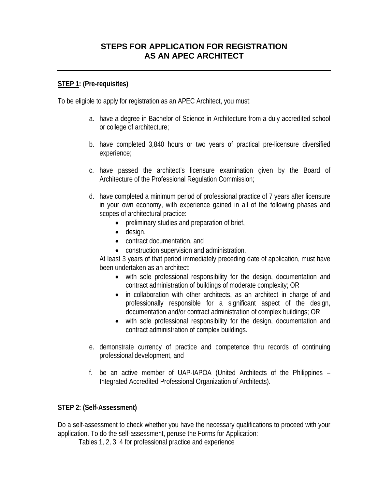# **STEPS FOR APPLICATION FOR REGISTRATION AS AN APEC ARCHITECT**

# **STEP 1: (Pre-requisites)**

To be eligible to apply for registration as an APEC Architect, you must:

- a. have a degree in Bachelor of Science in Architecture from a duly accredited school or college of architecture;
- b. have completed 3,840 hours or two years of practical pre-licensure diversified experience;
- c. have passed the architect's licensure examination given by the Board of Architecture of the Professional Regulation Commission;
- d. have completed a minimum period of professional practice of 7 years after licensure in your own economy, with experience gained in all of the following phases and scopes of architectural practice:
	- preliminary studies and preparation of brief,
	- design,
	- contract documentation, and
	- construction supervision and administration.

At least 3 years of that period immediately preceding date of application, must have been undertaken as an architect:

- with sole professional responsibility for the design, documentation and contract administration of buildings of moderate complexity; OR
- in collaboration with other architects, as an architect in charge of and professionally responsible for a significant aspect of the design, documentation and/or contract administration of complex buildings; OR
- with sole professional responsibility for the design, documentation and contract administration of complex buildings.
- e. demonstrate currency of practice and competence thru records of continuing professional development, and
- f. be an active member of UAP-IAPOA (United Architects of the Philippines Integrated Accredited Professional Organization of Architects).

# **STEP 2: (Self-Assessment)**

Do a self-assessment to check whether you have the necessary qualifications to proceed with your application. To do the self-assessment, peruse the Forms for Application:

Tables 1, 2, 3, 4 for professional practice and experience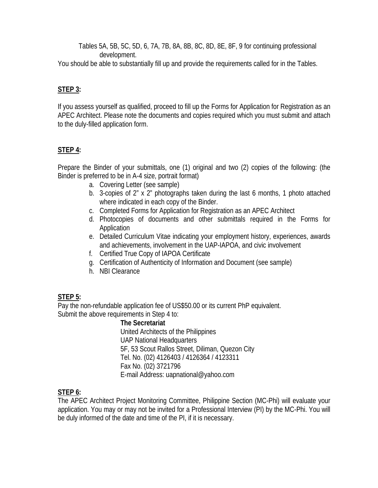Tables 5A, 5B, 5C, 5D, 6, 7A, 7B, 8A, 8B, 8C, 8D, 8E, 8F, 9 for continuing professional development.

You should be able to substantially fill up and provide the requirements called for in the Tables.

# **STEP 3:**

If you assess yourself as qualified, proceed to fill up the Forms for Application for Registration as an APEC Architect. Please note the documents and copies required which you must submit and attach to the duly-filled application form.

# **STEP 4:**

Prepare the Binder of your submittals, one (1) original and two (2) copies of the following: (the Binder is preferred to be in A-4 size, portrait format)

- a. Covering Letter (see sample)
- b. 3-copies of 2" x 2" photographs taken during the last 6 months, 1 photo attached where indicated in each copy of the Binder.
- c. Completed Forms for Application for Registration as an APEC Architect
- d. Photocopies of documents and other submittals required in the Forms for Application
- e. Detailed Curriculum Vitae indicating your employment history, experiences, awards and achievements, involvement in the UAP-IAPOA, and civic involvement
- f. Certified True Copy of IAPOA Certificate
- g. Certification of Authenticity of Information and Document (see sample)
- h. NBI Clearance

# **STEP 5:**

Pay the non-refundable application fee of US\$50.00 or its current PhP equivalent. Submit the above requirements in Step 4 to:

# **The Secretariat**

 United Architects of the Philippines UAP National Headquarters 5F, 53 Scout Rallos Street, Diliman, Quezon City Tel. No. (02) 4126403 / 4126364 / 4123311 Fax No. (02) 3721796 E-mail Address: uapnational@yahoo.com

# **STEP 6:**

The APEC Architect Project Monitoring Committee, Philippine Section (MC-Phi) will evaluate your application. You may or may not be invited for a Professional Interview (PI) by the MC-Phi. You will be duly informed of the date and time of the PI, if it is necessary.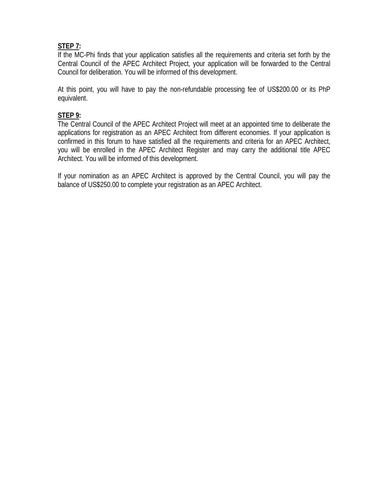# **STEP 7:**

If the MC-Phi finds that your application satisfies all the requirements and criteria set forth by the Central Council of the APEC Architect Project, your application will be forwarded to the Central Council for deliberation. You will be informed of this development.

At this point, you will have to pay the non-refundable processing fee of US\$200.00 or its PhP equivalent.

# **STEP 9:**

The Central Council of the APEC Architect Project will meet at an appointed time to deliberate the applications for registration as an APEC Architect from different economies. If your application is confirmed in this forum to have satisfied all the requirements and criteria for an APEC Architect, you will be enrolled in the APEC Architect Register and may carry the additional title APEC Architect. You will be informed of this development.

If your nomination as an APEC Architect is approved by the Central Council, you will pay the balance of US\$250.00 to complete your registration as an APEC Architect.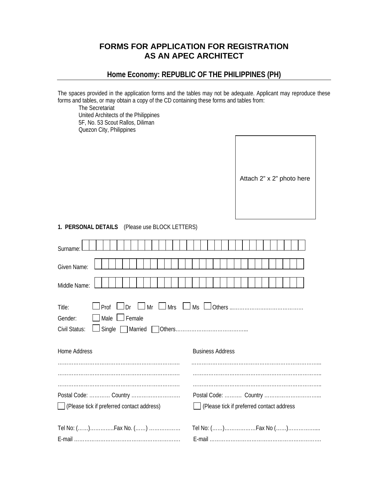# **FORMS FOR APPLICATION FOR REGISTRATION AS AN APEC ARCHITECT**

# **Home Economy: REPUBLIC OF THE PHILIPPINES (PH)**

The spaces provided in the application forms and the tables may not be adequate. Applicant may reproduce these forms and tables, or may obtain a copy of the CD containing these forms and tables from:

 The Secretariat United Architects of the Philippines 5F, No. 53 Scout Rallos, Diliman Quezon City, Philippines

| Attach 2" x 2" photo here |
|---------------------------|
|---------------------------|

#### **1. PERSONAL DETAILS** (Please use BLOCK LETTERS)

| Surname:                                                                        |                                          |
|---------------------------------------------------------------------------------|------------------------------------------|
| Given Name:                                                                     |                                          |
| Middle Name:                                                                    |                                          |
| Title:<br>$\blacksquare$ Male $\blacksquare$ Female<br>Gender:<br>Civil Status: |                                          |
| <b>Home Address</b>                                                             | <b>Business Address</b>                  |
|                                                                                 |                                          |
|                                                                                 |                                          |
|                                                                                 |                                          |
|                                                                                 |                                          |
| Please tick if preferred contact address)                                       | Please tick if preferred contact address |
|                                                                                 |                                          |
|                                                                                 |                                          |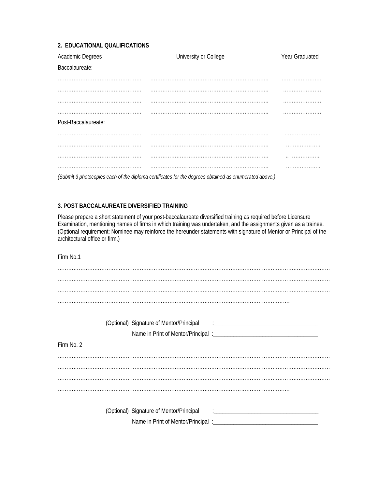#### **2. EDUCATIONAL QUALIFICATIONS**

| Academic Degrees    | University or College                                                                                 | Year Graduated |
|---------------------|-------------------------------------------------------------------------------------------------------|----------------|
| Baccalaureate:      |                                                                                                       |                |
|                     |                                                                                                       |                |
|                     |                                                                                                       |                |
|                     |                                                                                                       |                |
|                     |                                                                                                       |                |
| Post-Baccalaureate: |                                                                                                       |                |
|                     |                                                                                                       |                |
|                     |                                                                                                       | .              |
|                     |                                                                                                       |                |
|                     |                                                                                                       |                |
|                     | (Submit 3 photocopies each of the diploma certificates for the degrees obtained as enumerated above.) |                |

#### **3. POST BACCALAUREATE DIVERSIFIED TRAINING**

Please prepare a short statement of your post-baccalaureate diversified training as required before Licensure Examination, mentioning names of firms in which training was undertaken, and the assignments given as a trainee. (Optional requirement: Nominee may reinforce the hereunder statements with signature of Mentor or Principal of the architectural office or firm.)

Firm No.1 ………………………………………………………………………………………………………………………………………… ……………………………………………………………………………………………………………………. (Optional) Signature of Mentor/Principal Name in Print of Mentor/Principal :\_\_\_\_\_\_\_\_\_\_\_\_\_\_\_\_\_\_\_\_\_\_\_\_\_\_\_\_\_\_\_\_\_\_\_\_ Firm No. 2 ………………………………………………………………………………………………………………………………………… ………………………………………………………………………………………………………………………………………… (Optional) Signature of Mentor/Principal Name in Print of Mentor/Principal :\_\_\_\_\_\_\_\_\_\_\_\_\_\_\_\_\_\_\_\_\_\_\_\_\_\_\_\_\_\_\_\_\_\_\_\_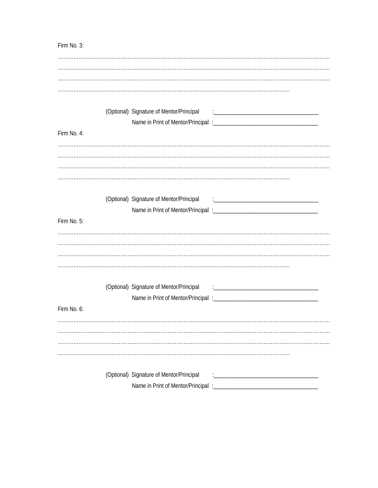Firm No. 3: (Optional) Signature of Mentor/Principal Name in Print of Mentor/Principal :\_ Firm No. 4: (Optional) Signature of Mentor/Principal Firm No. 5: (Optional) Signature of Mentor/Principal Firm No. 6: (Optional) Signature of Mentor/Principal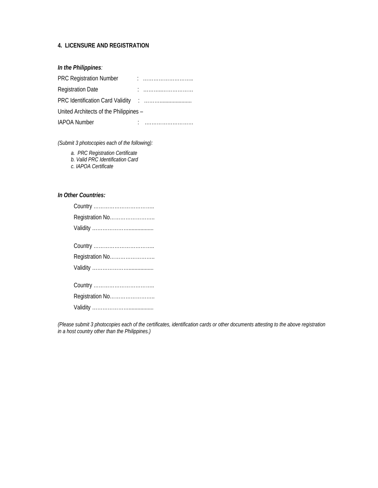#### **4. LICENSURE AND REGISTRATION**

#### *In the Philippines:*

| <b>PRC Registration Number</b>         |  |
|----------------------------------------|--|
| <b>Registration Date</b>               |  |
|                                        |  |
| United Architects of the Philippines - |  |
| <b>IAPOA Number</b>                    |  |

*(Submit 3 photocopies each of the following):* 

 *a. PRC Registration Certificate* 

 *b. Valid PRC Identification Card* 

 *c. IAPOA Certificate* 

#### *In Other Countries:*

| Registration No |
|-----------------|
|                 |
|                 |
| Registration No |
|                 |
|                 |
|                 |
|                 |

*(Please submit 3 photocopies each of the certificates, identification cards or other documents attesting to the above registration in a host country other than the Philippines.)*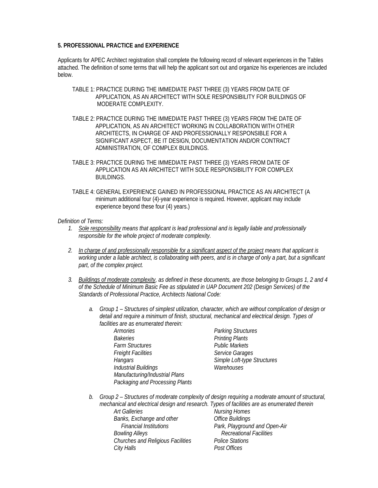#### **5. PROFESSIONAL PRACTICE and EXPERIENCE**

Applicants for APEC Architect registration shall complete the following record of relevant experiences in the Tables attached. The definition of some terms that will help the applicant sort out and organize his experiences are included below.

- TABLE 1: PRACTICE DURING THE IMMEDIATE PAST THREE (3) YEARS FROM DATE OF APPLICATION, AS AN ARCHITECT WITH SOLE RESPONSIBILITY FOR BUILDINGS OF MODERATE COMPLEXITY.
- TABLE 2: PRACTICE DURING THE IMMEDIATE PAST THREE (3) YEARS FROM THE DATE OF APPLICATION, AS AN ARCHITECT WORKING IN COLLABORATION WITH OTHER ARCHITECTS, IN CHARGE OF AND PROFESSIONALLY RESPONSIBLE FOR A SIGNIFICANT ASPECT, BE IT DESIGN, DOCUMENTATION AND/OR CONTRACT ADMINISTRATION, OF COMPLEX BUILDINGS.
- TABLE 3: PRACTICE DURING THE IMMEDIATE PAST THREE (3) YEARS FROM DATE OF APPLICATION AS AN ARCHITECT WITH SOLE RESPONSIBILITY FOR COMPLEX BUILDINGS.
- TABLE 4: GENERAL EXPERIENCE GAINED IN PROFESSIONAL PRACTICE AS AN ARCHITECT (A minimum additional four (4)-year experience is required. However, applicant may include experience beyond these four (4) years.)

#### *Definition of Terms:*

- *1. Sole responsibility means that applicant is lead professional and is legally liable and professionally responsible for the whole project of moderate complexity.*
- *2. In charge of and professionally responsible for a significant aspect of the project means that applicant is working under a liable architect, is collaborating with peers, and is in charge of only a part, but a significant part, of the complex project.*
- *3. Buildings of moderate complexity, as defined in these documents, are those belonging to Groups 1, 2 and 4 of the Schedule of Minimum Basic Fee as stipulated in UAP Document 202 (Design Services) of the Standards of Professional Practice, Architects National Code:* 
	- *a. Group 1 Structures of simplest utilization, character, which are without complication of design or detail and require a minimum of finish, structural, mechanical and electrical design. Types of facilities are as enumerated therein:* 
		- *Armories Parking Structures Bakeries Printing Plants Farm Structures<br>Freight Facilities Hangars Simple Loft-type Structures Industrial Buildings Warehouses Manufacturing/Industrial Plans Packaging and Processing Plants*

 *Freight Facilities Service Garages* 

*b. Group 2 – Structures of moderate complexity of design requiring a moderate amount of structural, mechanical and electrical design and research. Types of facilities are as enumerated therein* 

*Art Galleries Art Galleries Art Galleries Banks, Exchange and other Office Buildings Bowling Alleys Recreational Facilities Churches and Religious Facilities Police Stations City Halls Post Offices* 

 *Financial Institutions Park, Playground and Open-Air*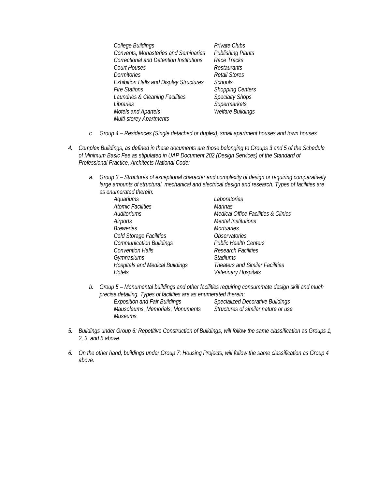| College Buildings                              | Private Clubs            |
|------------------------------------------------|--------------------------|
| <b>Convents, Monasteries and Seminaries</b>    | <b>Publishing Plants</b> |
| <b>Correctional and Detention Institutions</b> | Race Tracks              |
| <b>Court Houses</b>                            | Restaurants              |
| Dormitories                                    | <b>Retail Stores</b>     |
| <b>Exhibition Halls and Display Structures</b> | <b>Schools</b>           |
| <b>Fire Stations</b>                           | <b>Shopping Centers</b>  |
| Laundries & Cleaning Facilities                | <b>Specialty Shops</b>   |
| Libraries                                      | Supermarkets             |
| Motels and Apartels                            | <b>Welfare Buildings</b> |
| Multi-storey Apartments                        |                          |

- *c. Group 4 Residences (Single detached or duplex), small apartment houses and town houses.*
- *4. Complex Buildings, as defined in these documents are those belonging to Groups 3 and 5 of the Schedule of Minimum Basic Fee as stipulated in UAP Document 202 (Design Services) of the Standard of Professional Practice, Architects National Code:* 
	- *a. Group 3 Structures of exceptional character and complexity of design or requiring comparatively large amounts of structural, mechanical and electrical design and research. Types of facilities are as enumerated therein:*

| Aquariums                              | Laboratories                           |
|----------------------------------------|----------------------------------------|
| <b>Atomic Facilities</b>               | <i>Marinas</i>                         |
| Auditoriums                            | Medical Office Facilities & Clinics    |
| Airports                               | Mental Institutions                    |
| <b>Breweries</b>                       | <b>Mortuaries</b>                      |
| Cold Storage Facilities                | <i><b>Observatories</b></i>            |
| <b>Communication Buildings</b>         | <b>Public Health Centers</b>           |
| <b>Convention Halls</b>                | <b>Research Facilities</b>             |
| Gymnasiums                             | <b>Stadiums</b>                        |
| <b>Hospitals and Medical Buildings</b> | <b>Theaters and Similar Facilities</b> |
| Hotels                                 | Veterinary Hospitals                   |
|                                        |                                        |

*b. Group 5 – Monumental buildings and other facilities requiring consummate design skill and much precise detailing. Types of facilities are as enumerated therein:* 

 *Mausoleums, Memorials, Monuments Structures of similar nature or use Museums.* 

 *Exposition and Fair Buildings Specialized Decorative Buildings* 

- *5. Buildings under Group 6: Repetitive Construction of Buildings, will follow the same classification as Groups 1, 2, 3, and 5 above.*
- *6. On the other hand, buildings under Group 7: Housing Projects, will follow the same classification as Group 4 above.*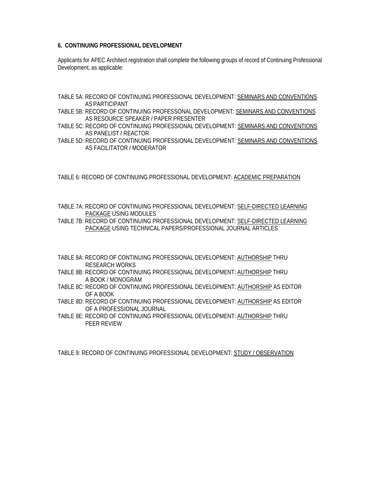#### **6. CONTINUING PROFESSIONAL DEVELOPMENT**

Applicants for APEC Architect registration shall complete the following groups of record of Continuing Professional Development, as applicable:

- TABLE 5A: RECORD OF CONTINUING PROFESSIONAL DEVELOPMENT: SEMINARS AND CONVENTIONS AS PARTICIPANT
- TABLE 5B: RECORD OF CONTINUING PROFESSONAL DEVELOPMENT: SEMINARS AND CONVENTIONS AS RESOURCE SPEAKER / PAPER PRESENTER
- TABLE 5C: RECORD OF CONTINUING PROFESSIONAL DEVELOPMENT: SEMINARS AND CONVENTIONS AS PANELIST / REACTOR
- TABLE 5D: RECORD OF CONTINUING PROFESSIONAL DEVELOPMENT: SEMINARS AND CONVENTIONS AS FACILITATOR / MODERATOR

TABLE 6: RECORD OF CONTINUING PROFESSIONAL DEVELOPMENT: ACADEMIC PREPARATION

TABLE 7A: RECORD OF CONTINUING PROFESSIONAL DEVELOPMENT: SELF-DIRECTED LEARNING PACKAGE USING MODULES

TABLE 7B: RECORD OF CONTINUING PROFESSIONAL DEVELOPMENT: SELF-DIRECTED LEARNING PACKAGE USING TECHNICAL PAPERS/PROFESSIONAL JOURNAL ARTICLES

- TABLE 8A: RECORD OF CONTINUING PROFESSIONAL DEVELOPMENT: AUTHORSHIP THRU RESEARCH WORKS
- TABLE 8B: RECORD OF CONTINUING PROFESSIONAL DEVELOPMENT: AUTHORSHIP THRU A BOOK / MONOGRAM
- TABLE 8C: RECORD OF CONTINUING PROFESSIONAL DEVELOPMENT: AUTHORSHIP AS EDITOR OF A BOOK
- TABLE 8D: RECORD OF CONTINUING PROFESSIONAL DEVELOPMENT: AUTHORSHIP AS EDITOR OF A PROFESSIONAL JOURNAL
- TABLE 8E: RECORD OF CONTINUING PROFESSIONAL DEVELOPMENT: AUTHORSHIP THRU PEER REVIEW

TABLE 9: RECORD OF CONTINUING PROFESSIONAL DEVELOPMENT: STUDY / OBSERVATION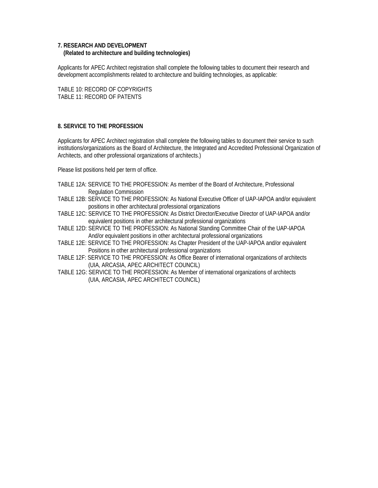#### **7. RESEARCH AND DEVELOPMENT (Related to architecture and building technologies)**

Applicants for APEC Architect registration shall complete the following tables to document their research and development accomplishments related to architecture and building technologies, as applicable:

TABLE 10: RECORD OF COPYRIGHTS TABLE 11: RECORD OF PATENTS

#### **8. SERVICE TO THE PROFESSION**

Applicants for APEC Architect registration shall complete the following tables to document their service to such institutions/organizations as the Board of Architecture, the Integrated and Accredited Professional Organization of Architects, and other professional organizations of architects.)

Please list positions held per term of office.

- TABLE 12A: SERVICE TO THE PROFESSION: As member of the Board of Architecture, Professional Regulation Commission
- TABLE 12B: SERVICE TO THE PROFESSION: As National Executive Officer of UAP-IAPOA and/or equivalent positions in other architectural professional organizations
- TABLE 12C: SERVICE TO THE PROFESSION: As District Director/Executive Director of UAP-IAPOA and/or equivalent positions in other architectural professional organizations
- TABLE 12D: SERVICE TO THE PROFESSION: As National Standing Committee Chair of the UAP-IAPOA And/or equivalent positions in other architectural professional organizations
- TABLE 12E: SERVICE TO THE PROFESSION: As Chapter President of the UAP-IAPOA and/or equivalent Positions in other architectural professional organizations
- TABLE 12F: SERVICE TO THE PROFESSION: As Office Bearer of international organizations of architects (UIA, ARCASIA, APEC ARCHITECT COUNCIL)
- TABLE 12G: SERVICE TO THE PROFESSION: As Member of international organizations of architects (UIA, ARCASIA, APEC ARCHITECT COUNCIL)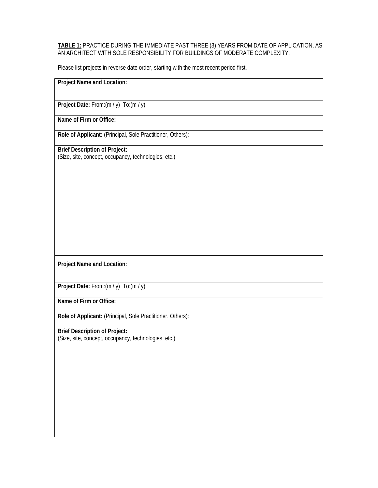#### **TABLE 1:** PRACTICE DURING THE IMMEDIATE PAST THREE (3) YEARS FROM DATE OF APPLICATION, AS AN ARCHITECT WITH SOLE RESPONSIBILITY FOR BUILDINGS OF MODERATE COMPLEXITY.

Please list projects in reverse date order, starting with the most recent period first.

#### **Project Name and Location:**

**Project Date:** From:(m / y) To:(m / y)

**Name of Firm or Office:** 

**Role of Applicant:** (Principal, Sole Practitioner, Others):

**Brief Description of Project:**  (Size, site, concept, occupancy, technologies, etc.)

**Project Name and Location:** 

**Project Date:** From:(m / y) To:(m / y)

**Name of Firm or Office:** 

**Role of Applicant:** (Principal, Sole Practitioner, Others):

# **Brief Description of Project:**

(Size, site, concept, occupancy, technologies, etc.)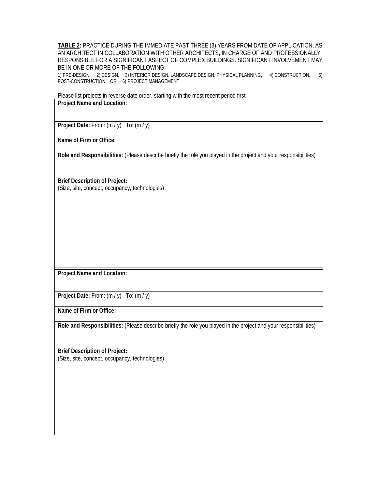**TABLE 2:** PRACTICE DURING THE IMMEDIATE PAST THREE (3) YEARS FROM DATE OF APPLICATION, AS AN ARCHITECT IN COLLABORATION WITH OTHER ARCHITECTS, IN CHARGE OF AND PROFESSIONALLY RESPONSIBLE FOR A SIGNIFICANT ASPECT OF COMPLEX BUILDINGS. SIGNIFICANT INVOLVEMENT MAY BE IN ONE OR MORE OF THE FOLLOWING:

1) PRE-DESIGN, 2) DESIGN, 3) INTERIOR DESIGN, LANDSCAPE DESIGN, PHYSICAL PLANNING, 4) CONSTRUCTION, 5) POST-CONSTRUCTION, OR 6) PROJECT MANAGEMENT

Please list projects in reverse date order, starting with the most recent period first.

#### **Project Name and Location:**

Project Date: From:  $(m / y)$  To:  $(m / y)$ 

**Name of Firm or Office:** 

**Role and Responsibilities:** (Please describe briefly the role you played in the project and your responsibilities)

**Brief Description of Project:**  (Size, site, concept, occupancy, technologies)

**Project Name and Location:** 

**Project Date:** From:  $(m / y)$  To:  $(m / y)$ 

**Name of Firm or Office:** 

**Role and Responsibilities:** (Please describe briefly the role you played in the project and your responsibilities)

**Brief Description of Project:**  (Size, site, concept, occupancy, technologies)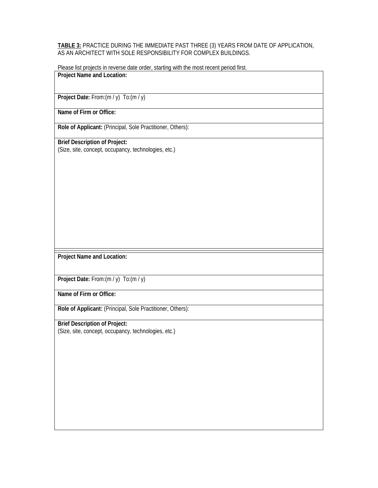#### **TABLE 3:** PRACTICE DURING THE IMMEDIATE PAST THREE (3) YEARS FROM DATE OF APPLICATION, AS AN ARCHITECT WITH SOLE RESPONSIBILITY FOR COMPLEX BUILDINGS.

Please list projects in reverse date order, starting with the most recent period first. **Project Name and Location:** 

**Project Date:** From:(m / y) To:(m / y)

**Name of Firm or Office:** 

**Role of Applicant:** (Principal, Sole Practitioner, Others):

**Brief Description of Project:**  (Size, site, concept, occupancy, technologies, etc.)

**Project Name and Location:** 

**Project Date:** From:(m / y) To:(m / y)

**Name of Firm or Office:** 

**Role of Applicant:** (Principal, Sole Practitioner, Others):

**Brief Description of Project:**  (Size, site, concept, occupancy, technologies, etc.)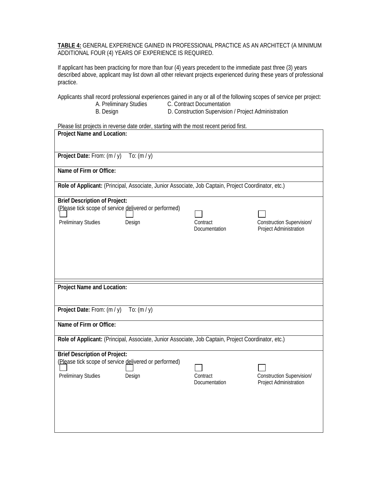**TABLE 4:** GENERAL EXPERIENCE GAINED IN PROFESSIONAL PRACTICE AS AN ARCHITECT (A MINIMUM ADDITIONAL FOUR (4) YEARS OF EXPERIENCE IS REQUIRED.

If applicant has been practicing for more than four (4) years precedent to the immediate past three (3) years described above, applicant may list down all other relevant projects experienced during these years of professional practice.

Applicants shall record professional experiences gained in any or all of the following scopes of service per project: A. Preliminary Studies C. Contract Documentation

B. Design D. Construction Supervision / Project Administration

| Please list projects in reverse date order, starting with the most recent period first.             |                                  |                                                     |
|-----------------------------------------------------------------------------------------------------|----------------------------------|-----------------------------------------------------|
| <b>Project Name and Location:</b>                                                                   |                                  |                                                     |
|                                                                                                     |                                  |                                                     |
| Project Date: From: (m / y)<br>To: $(m / y)$                                                        |                                  |                                                     |
| Name of Firm or Office:                                                                             |                                  |                                                     |
| Role of Applicant: (Principal, Associate, Junior Associate, Job Captain, Project Coordinator, etc.) |                                  |                                                     |
| <b>Brief Description of Project:</b>                                                                |                                  |                                                     |
| (Please tick scope of service delivered or performed)                                               |                                  |                                                     |
|                                                                                                     |                                  |                                                     |
| <b>Preliminary Studies</b><br>Design                                                                | Contract<br>Documentation        | Construction Supervision/<br>Project Administration |
|                                                                                                     |                                  |                                                     |
|                                                                                                     |                                  |                                                     |
|                                                                                                     |                                  |                                                     |
|                                                                                                     |                                  |                                                     |
|                                                                                                     |                                  |                                                     |
|                                                                                                     |                                  |                                                     |
| Project Name and Location:                                                                          |                                  |                                                     |
|                                                                                                     |                                  |                                                     |
| Project Date: From: (m / y)<br>To: $(m / y)$                                                        |                                  |                                                     |
|                                                                                                     |                                  |                                                     |
| Name of Firm or Office:                                                                             |                                  |                                                     |
| Role of Applicant: (Principal, Associate, Junior Associate, Job Captain, Project Coordinator, etc.) |                                  |                                                     |
|                                                                                                     |                                  |                                                     |
| <b>Brief Description of Project:</b>                                                                |                                  |                                                     |
| (Please tick scope of service delivered or performed)                                               |                                  |                                                     |
|                                                                                                     |                                  |                                                     |
| <b>Preliminary Studies</b><br>Design                                                                | Contract<br><b>Documentation</b> | Construction Supervision/<br>Project Administration |
|                                                                                                     |                                  |                                                     |
|                                                                                                     |                                  |                                                     |
|                                                                                                     |                                  |                                                     |
|                                                                                                     |                                  |                                                     |
|                                                                                                     |                                  |                                                     |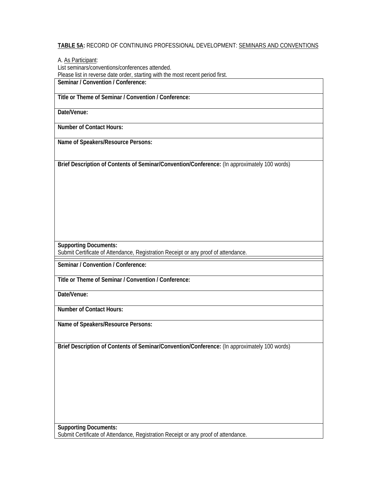#### **TABLE 5A:** RECORD OF CONTINUING PROFESSIONAL DEVELOPMENT: SEMINARS AND CONVENTIONS

A. As Participant: List seminars/conventions/conferences attended. Please list in reverse date order, starting with the most recent period first. **Seminar / Convention / Conference:** 

**Title or Theme of Seminar / Convention / Conference:** 

**Date/Venue:** 

**Number of Contact Hours:** 

**Name of Speakers/Resource Persons:** 

**Brief Description of Contents of Seminar/Convention/Conference:** (In approximately 100 words)

**Supporting Documents:**

Submit Certificate of Attendance, Registration Receipt or any proof of attendance.

**Seminar / Convention / Conference:** 

**Title or Theme of Seminar / Convention / Conference:** 

**Date/Venue:** 

**Number of Contact Hours:** 

**Name of Speakers/Resource Persons:** 

**Brief Description of Contents of Seminar/Convention/Conference:** (In approximately 100 words)

**Supporting Documents:** Submit Certificate of Attendance, Registration Receipt or any proof of attendance.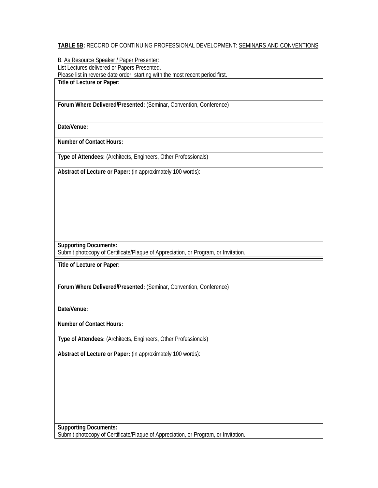#### **TABLE 5B:** RECORD OF CONTINUING PROFESSIONAL DEVELOPMENT: SEMINARS AND CONVENTIONS

B. As Resource Speaker / Paper Presenter: List Lectures delivered or Papers Presented. Please list in reverse date order, starting with the most recent period first. **Title of Lecture or Paper:** 

**Forum Where Delivered/Presented:** (Seminar, Convention, Conference)

**Date/Venue:** 

**Number of Contact Hours:** 

**Type of Attendees:** (Architects, Engineers, Other Professionals)

**Abstract of Lecture or Paper:** (in approximately 100 words):

**Supporting Documents:**

Submit photocopy of Certificate/Plaque of Appreciation, or Program, or Invitation.

**Title of Lecture or Paper:** 

**Forum Where Delivered/Presented:** (Seminar, Convention, Conference)

**Date/Venue:** 

**Number of Contact Hours:** 

**Type of Attendees:** (Architects, Engineers, Other Professionals)

**Abstract of Lecture or Paper:** (in approximately 100 words):

**Supporting Documents:** Submit photocopy of Certificate/Plaque of Appreciation, or Program, or Invitation.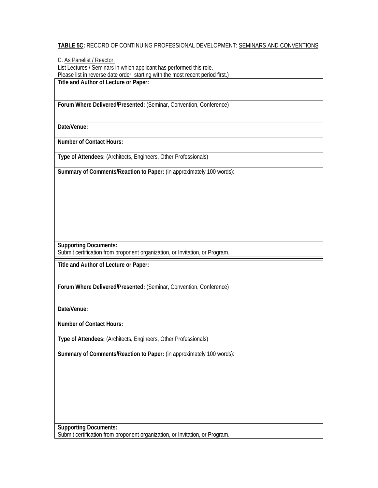#### **TABLE 5C:** RECORD OF CONTINUING PROFESSIONAL DEVELOPMENT: SEMINARS AND CONVENTIONS

C. As Panelist / Reactor: List Lectures / Seminars in which applicant has performed this role. Please list in reverse date order, starting with the most recent period first.) **Title and Author of Lecture or Paper:** 

**Forum Where Delivered/Presented:** (Seminar, Convention, Conference)

**Date/Venue:** 

**Number of Contact Hours:** 

**Type of Attendees:** (Architects, Engineers, Other Professionals)

**Summary of Comments/Reaction to Paper:** (in approximately 100 words):

**Supporting Documents:**

Submit certification from proponent organization, or Invitation, or Program.

**Title and Author of Lecture or Paper:** 

**Forum Where Delivered/Presented:** (Seminar, Convention, Conference)

**Date/Venue:** 

**Number of Contact Hours:** 

**Type of Attendees:** (Architects, Engineers, Other Professionals)

**Summary of Comments/Reaction to Paper:** (in approximately 100 words):

**Supporting Documents:** Submit certification from proponent organization, or Invitation, or Program.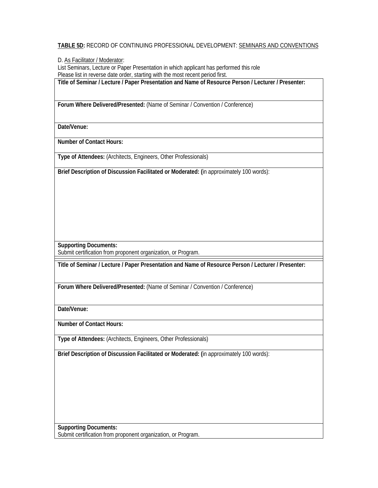#### **TABLE 5D:** RECORD OF CONTINUING PROFESSIONAL DEVELOPMENT: SEMINARS AND CONVENTIONS

D. As Facilitator / Moderator:

List Seminars, Lecture or Paper Presentation in which applicant has performed this role Please list in reverse date order, starting with the most recent period first.

**Title of Seminar / Lecture / Paper Presentation and Name of Resource Person / Lecturer / Presenter:** 

**Forum Where Delivered/Presented:** (Name of Seminar / Convention / Conference)

**Date/Venue:** 

**Number of Contact Hours:** 

**Type of Attendees:** (Architects, Engineers, Other Professionals)

**Brief Description of Discussion Facilitated or Moderated: (**in approximately 100 words):

**Supporting Documents:**

Submit certification from proponent organization, or Program.

**Title of Seminar / Lecture / Paper Presentation and Name of Resource Person / Lecturer / Presenter:** 

**Forum Where Delivered/Presented:** (Name of Seminar / Convention / Conference)

**Date/Venue:** 

**Number of Contact Hours:** 

**Type of Attendees:** (Architects, Engineers, Other Professionals)

**Brief Description of Discussion Facilitated or Moderated: (**in approximately 100 words):

**Supporting Documents:** Submit certification from proponent organization, or Program.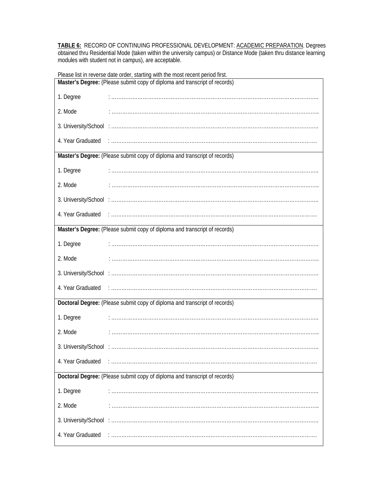**TABLE 6:** RECORD OF CONTINUING PROFESSIONAL DEVELOPMENT: ACADEMIC PREPARATION. Degrees obtained thru Residential Mode (taken within the university campus) or Distance Mode (taken thru distance learning modules with student not in campus), are acceptable.

Please list in reverse date order, starting with the most recent period first. **Master's Degree:** (Please submit copy of diploma and transcript of records) 1. Degree : ……………………………………………………………………………………………………….. 2. Mode : ……………………………………………………………………………………………………….. 3. University/School : ……………………………………………………………………………………………………….. 4. Year Graduated : ……………………………………………………………………………………………………….

**Master's Degree:** (Please submit copy of diploma and transcript of records)

1. Degree : ……………………………………………………………………………………………………….. 2. Mode : ……………………………………………………………………………………………………….. 3. University/School : ………………………………………………………………………………………………………..

4. Year Graduated : ……………………………………………………………………………………………………….

**Master's Degree:** (Please submit copy of diploma and transcript of records)

1. Degree : ……………………………………………………………………………………………………….. 2. Mode : ……………………………………………………………………………………………………….. 3. University/School : ……………………………………………………………………………………………………….. 4. Year Graduated : ………………………………………………………………………………………………………. **Doctoral Degree:** (Please submit copy of diploma and transcript of records)

1. Degree : ……………………………………………………………………………………………………….. 2. Mode : ……………………………………………………………………………………………………….. 3. University/School : ……………………………………………………………………………………………………….. 4. Year Graduated : ……………………………………………………………………………………………………….

**Doctoral Degree:** (Please submit copy of diploma and transcript of records)

| 1. Degree         | $\cdot$ |
|-------------------|---------|
| -2. Mode          |         |
|                   |         |
| 4. Year Graduated |         |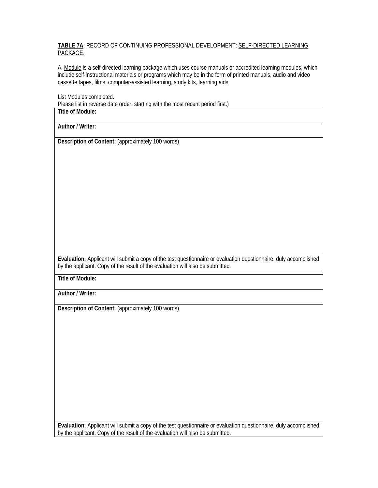#### **TABLE 7A**: RECORD OF CONTINUING PROFESSIONAL DEVELOPMENT: SELF-DIRECTED LEARNING PACKAGE.

A. Module is a self-directed learning package which uses course manuals or accredited learning modules, which include self-instructional materials or programs which may be in the form of printed manuals, audio and video cassette tapes, films, computer-assisted learning, study kits, learning aids.

List Modules completed.

Please list in reverse date order, starting with the most recent period first.)

**Title of Module:** 

**Author / Writer:** 

**Description of Content:** (approximately 100 words)

**Evaluation:** Applicant will submit a copy of the test questionnaire or evaluation questionnaire, duly accomplished by the applicant. Copy of the result of the evaluation will also be submitted.

**Title of Module:** 

**Author / Writer:** 

**Description of Content:** (approximately 100 words)

**Evaluation:** Applicant will submit a copy of the test questionnaire or evaluation questionnaire, duly accomplished by the applicant. Copy of the result of the evaluation will also be submitted.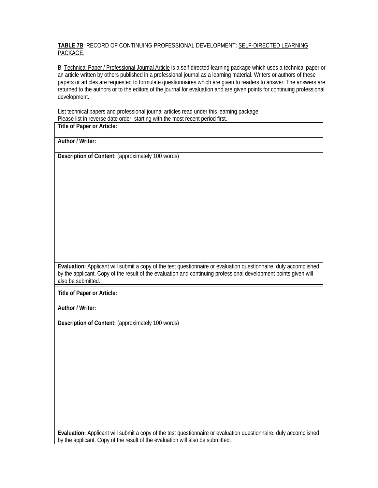#### **TABLE 7B**: RECORD OF CONTINUING PROFESSIONAL DEVELOPMENT: SELF-DIRECTED LEARNING PACKAGE.

B. Technical Paper / Professional Journal Article is a self-directed learning package which uses a technical paper or an article written by others published in a professional journal as a learning material. Writers or authors of these papers or articles are requested to formulate questionnaires which are given to readers to answer. The answers are returned to the authors or to the editors of the journal for evaluation and are given points for continuing professional development.

List technical papers and professional journal articles read under this learning package. Please list in reverse date order, starting with the most recent period first.

**Title of Paper or Article:** 

**Author / Writer:** 

**Description of Content:** (approximately 100 words)

**Evaluation:** Applicant will submit a copy of the test questionnaire or evaluation questionnaire, duly accomplished by the applicant. Copy of the result of the evaluation and continuing professional development points given will also be submitted.

**Title of Paper or Article:** 

**Author / Writer:** 

**Description of Content:** (approximately 100 words)

**Evaluation:** Applicant will submit a copy of the test questionnaire or evaluation questionnaire, duly accomplished by the applicant. Copy of the result of the evaluation will also be submitted.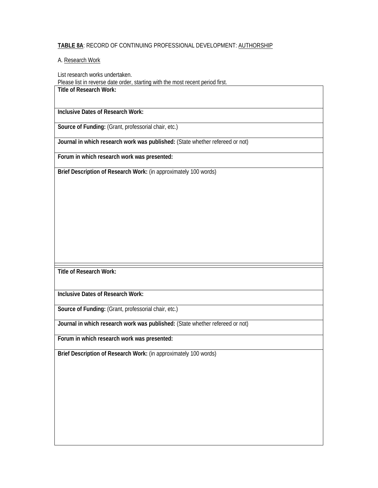#### **TABLE 8A**: RECORD OF CONTINUING PROFESSIONAL DEVELOPMENT: AUTHORSHIP

#### A. Research Work

List research works undertaken.

Please list in reverse date order, starting with the most recent period first.

# **Title of Research Work:**

**Inclusive Dates of Research Work:** 

**Source of Funding:** (Grant, professorial chair, etc.)

**Journal in which research work was published:** (State whether refereed or not)

**Forum in which research work was presented:** 

**Brief Description of Research Work:** (in approximately 100 words)

**Title of Research Work:** 

**Inclusive Dates of Research Work:** 

**Source of Funding:** (Grant, professorial chair, etc.)

**Journal in which research work was published:** (State whether refereed or not)

**Forum in which research work was presented:** 

**Brief Description of Research Work:** (in approximately 100 words)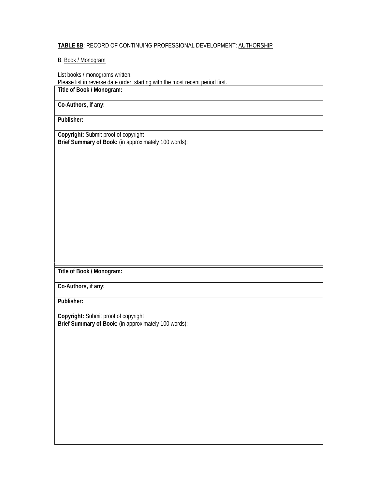#### **TABLE 8B**: RECORD OF CONTINUING PROFESSIONAL DEVELOPMENT: AUTHORSHIP

#### B. Book / Monogram

List books / monograms written.

Please list in reverse date order, starting with the most recent period first.

# **Title of Book / Monogram:**

#### **Co-Authors, if any:**

**Publisher:** 

**Copyright:** Submit proof of copyright

**Brief Summary of Book:** (in approximately 100 words):

**Title of Book / Monogram:** 

**Co-Authors, if any:** 

**Publisher:** 

**Copyright:** Submit proof of copyright **Brief Summary of Book:** (in approximately 100 words):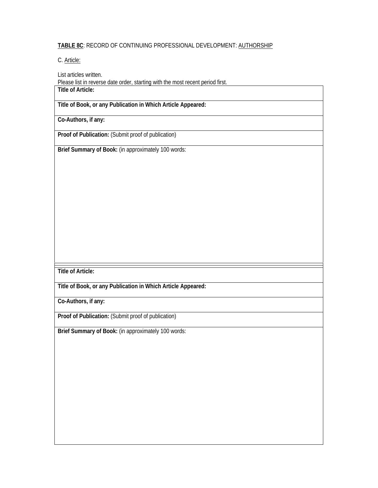#### **TABLE 8C**: RECORD OF CONTINUING PROFESSIONAL DEVELOPMENT: AUTHORSHIP

C. Article:

List articles written.

Please list in reverse date order, starting with the most recent period first. **Title of Article:** 

**Title of Book, or any Publication in Which Article Appeared:** 

**Co-Authors, if any:** 

**Proof of Publication:** (Submit proof of publication)

**Brief Summary of Book:** (in approximately 100 words:

**Title of Article:** 

**Title of Book, or any Publication in Which Article Appeared:** 

**Co-Authors, if any:** 

**Proof of Publication:** (Submit proof of publication)

**Brief Summary of Book:** (in approximately 100 words: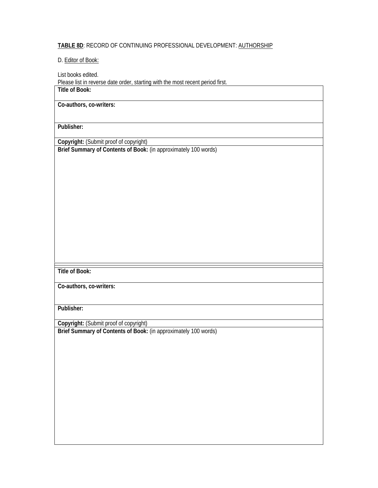#### **TABLE 8D**: RECORD OF CONTINUING PROFESSIONAL DEVELOPMENT: AUTHORSHIP

D. Editor of Book:

List books edited. Please list in reverse date order, starting with the most recent period first. **Title of Book:** 

**Co-authors, co-writers:** 

**Publisher:** 

**Copyright:** (Submit proof of copyright)

**Brief Summary of Contents of Book:** (in approximately 100 words)

**Title of Book:** 

**Co-authors, co-writers:** 

**Publisher:** 

**Copyright:** (Submit proof of copyright)

**Brief Summary of Contents of Book:** (in approximately 100 words)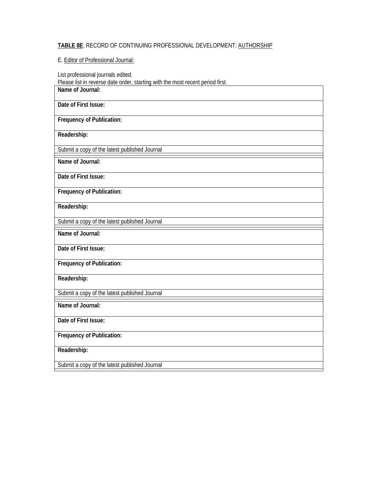# **TABLE 8E**: RECORD OF CONTINUING PROFESSIONAL DEVELOPMENT: AUTHORSHIP

## E. Editor of Professional Journal:

List professional journals edited.

Please list in reverse date order, starting with the most recent period first.

**Name of Journal:** 

| Date of First Issue:                          |
|-----------------------------------------------|
| <b>Frequency of Publication:</b>              |
| Readership:                                   |
| Submit a copy of the latest published Journal |
| Name of Journal:                              |
| Date of First Issue:                          |
| Frequency of Publication:                     |
| Readership:                                   |
| Submit a copy of the latest published Journal |
| Name of Journal:                              |
| Date of First Issue:                          |
| <b>Frequency of Publication:</b>              |
| Readership:                                   |
| Submit a copy of the latest published Journal |
| Name of Journal:                              |
| Date of First Issue:                          |
| <b>Frequency of Publication:</b>              |
| Readership:                                   |
| Submit a copy of the latest published Journal |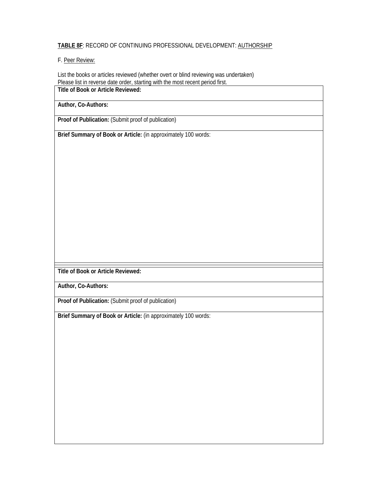#### **TABLE 8F**: RECORD OF CONTINUING PROFESSIONAL DEVELOPMENT: AUTHORSHIP

#### F. Peer Review:

List the books or articles reviewed (whether overt or blind reviewing was undertaken) Please list in reverse date order, starting with the most recent period first.

**Title of Book or Article Reviewed:** 

**Author, Co-Authors:** 

**Proof of Publication:** (Submit proof of publication)

**Brief Summary of Book or Article:** (in approximately 100 words:

**Title of Book or Article Reviewed:** 

**Author, Co-Authors:** 

**Proof of Publication:** (Submit proof of publication)

**Brief Summary of Book or Article:** (in approximately 100 words: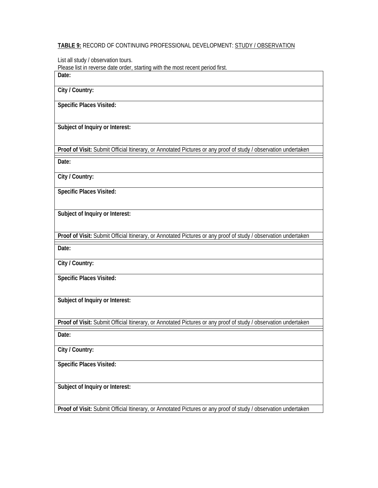#### **TABLE 9:** RECORD OF CONTINUING PROFESSIONAL DEVELOPMENT: STUDY / OBSERVATION

List all study / observation tours.

Please list in reverse date order, starting with the most recent period first. **Date:** 

**City / Country:** 

**Specific Places Visited:** 

**Subject of Inquiry or Interest:** 

**Proof of Visit:** Submit Official Itinerary, or Annotated Pictures or any proof of study / observation undertaken

**Date:** 

**City / Country:** 

**Specific Places Visited:** 

**Subject of Inquiry or Interest:** 

**Proof of Visit:** Submit Official Itinerary, or Annotated Pictures or any proof of study / observation undertaken

**Date:** 

**City / Country:** 

**Specific Places Visited:** 

**Subject of Inquiry or Interest:** 

**Proof of Visit:** Submit Official Itinerary, or Annotated Pictures or any proof of study / observation undertaken

**Date:** 

**City / Country:** 

**Specific Places Visited:** 

**Subject of Inquiry or Interest:** 

**Proof of Visit:** Submit Official Itinerary, or Annotated Pictures or any proof of study / observation undertaken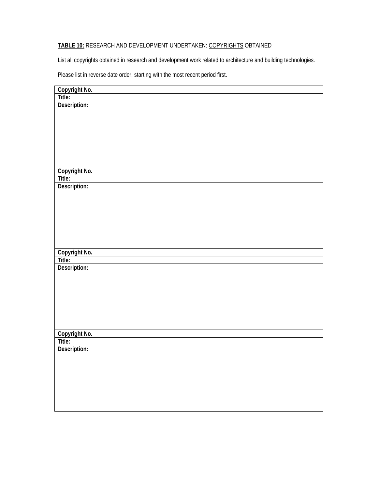# **TABLE 10:** RESEARCH AND DEVELOPMENT UNDERTAKEN: COPYRIGHTS OBTAINED

List all copyrights obtained in research and development work related to architecture and building technologies.

Please list in reverse date order, starting with the most recent period first.

| Copyright No.<br>Title: |
|-------------------------|
| Description:            |
|                         |
|                         |
|                         |
|                         |
|                         |
|                         |
|                         |
| Copyright No.           |
| Title:                  |
| Description:            |
|                         |
|                         |
|                         |
|                         |
|                         |
|                         |
|                         |
|                         |
| Copyright No.<br>Title: |
|                         |
| Description:            |
|                         |
|                         |
|                         |
|                         |
|                         |
|                         |
|                         |
|                         |
| Copyright No.<br>Title: |
| Description:            |
|                         |
|                         |
|                         |
|                         |
|                         |
|                         |
|                         |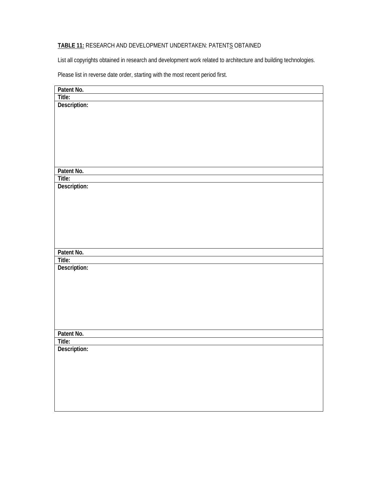# **TABLE 11:** RESEARCH AND DEVELOPMENT UNDERTAKEN: PATENTS OBTAINED

List all copyrights obtained in research and development work related to architecture and building technologies.

Please list in reverse date order, starting with the most recent period first.

| Patent No.   |
|--------------|
| Title:       |
| Description: |
|              |
|              |
|              |
|              |
|              |
|              |
|              |
| Patent No.   |
| Title:       |
| Description: |
|              |
|              |
|              |
|              |
|              |
|              |
| Patent No.   |
| Title:       |
| Description: |
|              |
|              |
|              |
|              |
|              |
|              |
|              |
| Patent No.   |
| Title:       |
| Description: |
|              |
|              |
|              |
|              |
|              |
|              |
|              |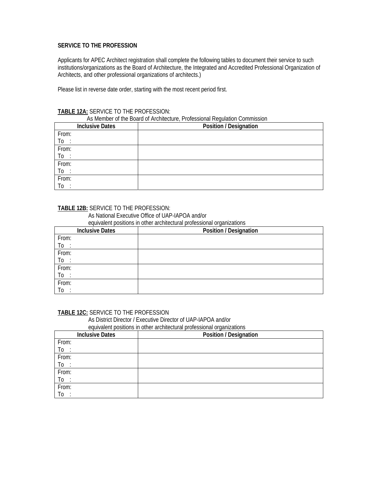#### **SERVICE TO THE PROFESSION**

Applicants for APEC Architect registration shall complete the following tables to document their service to such institutions/organizations as the Board of Architecture, the Integrated and Accredited Professional Organization of Architects, and other professional organizations of architects.)

Please list in reverse date order, starting with the most recent period first.

#### **TABLE 12A:** SERVICE TO THE PROFESSION:

| AS Member of the Board of Architecture, Professional Requiation Commission |                        |                        |
|----------------------------------------------------------------------------|------------------------|------------------------|
|                                                                            | <b>Inclusive Dates</b> | Position / Designation |
| From:                                                                      |                        |                        |
| To                                                                         |                        |                        |
| From:                                                                      |                        |                        |
| To :                                                                       |                        |                        |
| From:                                                                      |                        |                        |
| To:                                                                        |                        |                        |
| From:                                                                      |                        |                        |
| Τo                                                                         |                        |                        |

#### As Member of the Board of Architecture, Professional Regulation Commission

#### **TABLE 12B:** SERVICE TO THE PROFESSION:

As National Executive Office of UAP-IAPOA and/or

equivalent positions in other architectural professional organizations

| <b>Inclusive Dates</b> | Position / Designation |
|------------------------|------------------------|
| From:                  |                        |
| To                     |                        |
| From:                  |                        |
| To<br>$\cdot$          |                        |
| From:                  |                        |
| To                     |                        |
| From:                  |                        |
| To                     |                        |

#### **TABLE 12C:** SERVICE TO THE PROFESSION

As District Director / Executive Director of UAP-IAPOA and/or

equivalent positions in other architectural professional organizations

| <b>Inclusive Dates</b> | Position / Designation |
|------------------------|------------------------|
| From:                  |                        |
| To                     |                        |
| From:                  |                        |
| $\overline{10}$        |                        |
| From:                  |                        |
| To                     |                        |
| From:                  |                        |
| To                     |                        |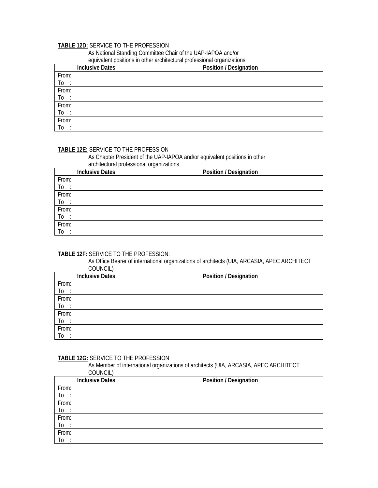## **TABLE 12D:** SERVICE TO THE PROFESSION

As National Standing Committee Chair of the UAP-IAPOA and/or

# equivalent positions in other architectural professional organizations **Inclusive Dates Position / Designation**

| Inclusive Dates | Position / Designation |
|-----------------|------------------------|
| From:           |                        |
| To              |                        |
| From:           |                        |
| $\overline{10}$ |                        |
| From:           |                        |
| To              |                        |
| From:           |                        |
| To              |                        |

# **TABLE 12E:** SERVICE TO THE PROFESSION

 As Chapter President of the UAP-IAPOA and/or equivalent positions in other architectural professional organizations

|       | <b>Inclusive Dates</b> | <b>Position / Designation</b> |
|-------|------------------------|-------------------------------|
| From: |                        |                               |
| To    |                        |                               |
| From: |                        |                               |
| To :  |                        |                               |
| From: |                        |                               |
| To :  |                        |                               |
| From: |                        |                               |
| To    |                        |                               |

#### **TABLE 12F:** SERVICE TO THE PROFESSION:

 As Office Bearer of international organizations of architects (UIA, ARCASIA, APEC ARCHITECT COUNCIL)

|                     | <b>Inclusive Dates</b> | Position / Designation |
|---------------------|------------------------|------------------------|
| From:               |                        |                        |
|                     |                        |                        |
| $\frac{T_0}{T_0}$ : |                        |                        |
|                     |                        |                        |
| $To : From:$        |                        |                        |
| To :                |                        |                        |
| From:               |                        |                        |
| To                  |                        |                        |

#### **TABLE 12G:** SERVICE TO THE PROFESSION

 As Member of international organizations of architects (UIA, ARCASIA, APEC ARCHITECT COUNCIL)

| <b>Inclusive Dates</b>          | <b>Position / Designation</b> |
|---------------------------------|-------------------------------|
| From:                           |                               |
| To<br>$\bullet$                 |                               |
| From:                           |                               |
| $\overline{10}$                 |                               |
| From:                           |                               |
| $\underline{\operatorname{To}}$ |                               |
| From:                           |                               |
| Тo<br>$\cdot$                   |                               |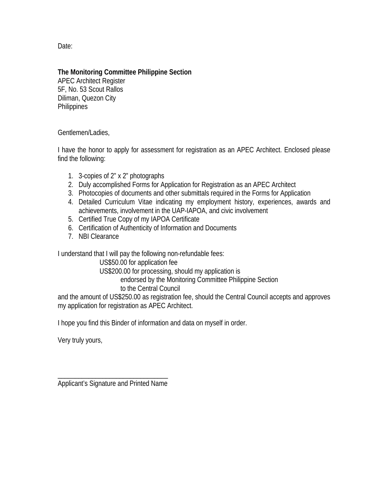Date:

# **The Monitoring Committee Philippine Section**

APEC Architect Register 5F, No. 53 Scout Rallos Diliman, Quezon City **Philippines** 

Gentlemen/Ladies,

I have the honor to apply for assessment for registration as an APEC Architect. Enclosed please find the following:

- 1. 3-copies of 2" x 2" photographs
- 2. Duly accomplished Forms for Application for Registration as an APEC Architect
- 3. Photocopies of documents and other submittals required in the Forms for Application
- 4. Detailed Curriculum Vitae indicating my employment history, experiences, awards and achievements, involvement in the UAP-IAPOA, and civic involvement
- 5. Certified True Copy of my IAPOA Certificate
- 6. Certification of Authenticity of Information and Documents
- 7. NBI Clearance

I understand that I will pay the following non-refundable fees:

 US\$50.00 for application fee US\$200.00 for processing, should my application is

endorsed by the Monitoring Committee Philippine Section

to the Central Council

and the amount of US\$250.00 as registration fee, should the Central Council accepts and approves my application for registration as APEC Architect.

I hope you find this Binder of information and data on myself in order.

Very truly yours,

\_\_\_\_\_\_\_\_\_\_\_\_\_\_\_\_\_\_\_\_\_\_\_\_\_\_\_\_\_\_\_\_ Applicant's Signature and Printed Name